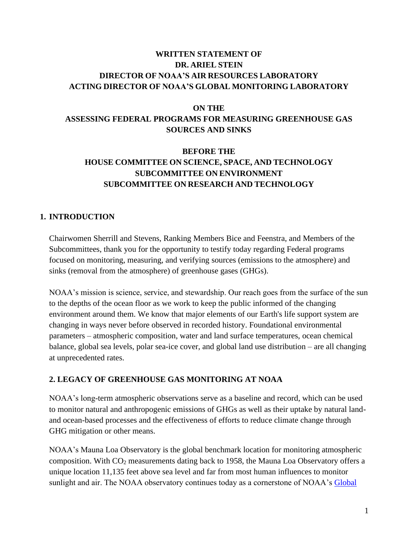# **WRITTEN STATEMENT OF DR. ARIEL STEIN DIRECTOR OF NOAA'S AIR RESOURCES LABORATORY ACTING DIRECTOR OF NOAA'S GLOBAL MONITORING LABORATORY**

#### **ON THE**

# **ASSESSING FEDERAL PROGRAMS FOR MEASURING GREENHOUSE GAS SOURCES AND SINKS**

# **BEFORE THE HOUSE COMMITTEE ON SCIENCE, SPACE, AND TECHNOLOGY SUBCOMMITTEE ON ENVIRONMENT SUBCOMMITTEE ON RESEARCH AND TECHNOLOGY**

### **1. INTRODUCTION**

Chairwomen Sherrill and Stevens, Ranking Members Bice and Feenstra, and Members of the Subcommittees, thank you for the opportunity to testify today regarding Federal programs focused on monitoring, measuring, and verifying sources (emissions to the atmosphere) and sinks (removal from the atmosphere) of greenhouse gases (GHGs).

NOAA's mission is science, service, and stewardship. Our reach goes from the surface of the sun to the depths of the ocean floor as we work to keep the public informed of the changing environment around them. We know that major elements of our Earth's life support system are changing in ways never before observed in recorded history. Foundational environmental parameters – atmospheric composition, water and land surface temperatures, ocean chemical balance, global sea levels, polar sea-ice cover, and global land use distribution – are all changing at unprecedented rates.

### **2. LEGACY OF GREENHOUSE GAS MONITORING AT NOAA**

NOAA's long-term atmospheric observations serve as a baseline and record, which can be used to monitor natural and anthropogenic emissions of GHGs as well as their uptake by natural landand ocean-based processes and the effectiveness of efforts to reduce climate change through GHG mitigation or other means.

NOAA's Mauna Loa Observatory is the global benchmark location for monitoring atmospheric composition. With CO<sup>2</sup> measurements dating back to 1958, the Mauna Loa Observatory offers a unique location 11,135 feet above sea level and far from most human influences to monitor sunlight and air. The NOAA observatory continues today as a cornerstone of NOAA's Global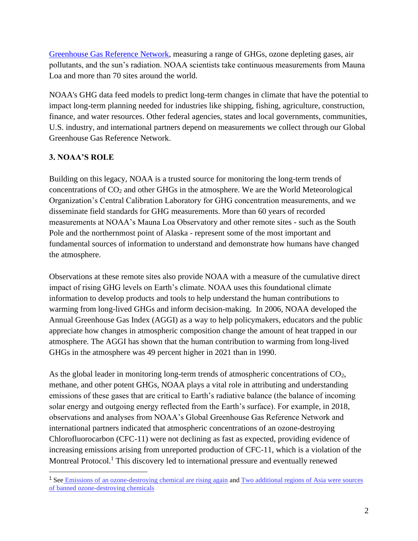[Greenhouse Gas Reference Network,](http://www.esrl.noaa.gov/gmd/ccgg/index.html) measuring a range of GHGs, ozone depleting gases, air pollutants, and the sun's radiation. NOAA scientists take continuous measurements from Mauna Loa and more than 70 sites around the world.

NOAA's GHG data feed models to predict long-term changes in climate that have the potential to impact long-term planning needed for industries like shipping, fishing, agriculture, construction, finance, and water resources. Other federal agencies, states and local governments, communities, U.S. industry, and international partners depend on measurements we collect through our Global Greenhouse Gas Reference Network.

# **3. NOAA'S ROLE**

Building on this legacy, NOAA is a trusted source for monitoring the long-term trends of concentrations of  $CO<sub>2</sub>$  and other GHGs in the atmosphere. We are the World Meteorological Organization's Central Calibration Laboratory for GHG concentration measurements, and we disseminate field standards for GHG measurements. More than 60 years of recorded measurements at NOAA's Mauna Loa Observatory and other remote sites - such as the South Pole and the northernmost point of Alaska - represent some of the most important and fundamental sources of information to understand and demonstrate how humans have changed the atmosphere.

Observations at these remote sites also provide NOAA with a measure of the cumulative direct impact of rising GHG levels on Earth's climate. NOAA uses this foundational climate information to develop products and tools to help understand the human contributions to warming from long-lived GHGs and inform decision-making. In 2006, NOAA developed the Annual Greenhouse Gas Index (AGGI) as a way to help policymakers, educators and the public appreciate how changes in atmospheric composition change the amount of heat trapped in our atmosphere. The AGGI has shown that the human contribution to warming from long-lived GHGs in the atmosphere was 49 percent higher in 2021 than in 1990.

As the global leader in monitoring long-term trends of atmospheric concentrations of CO<sub>2</sub>, methane, and other potent GHGs, NOAA plays a vital role in attributing and understanding emissions of these gases that are critical to Earth's radiative balance (the balance of incoming solar energy and outgoing energy reflected from the Earth's surface). For example, in 2018, observations and analyses from NOAA's Global Greenhouse Gas Reference Network and international partners indicated that atmospheric concentrations of an ozone-destroying Chlorofluorocarbon (CFC-11) were not declining as fast as expected, providing evidence of increasing emissions arising from unreported production of CFC-11, which is a violation of the Montreal Protocol.<sup>1</sup> This discovery led to international pressure and eventually renewed

<sup>&</sup>lt;sup>1</sup> See [Emissions of an ozone-destroying chemical are rising again](https://www.noaa.gov/news/emissions-of-ozone-destroying-chemical-are-rising-againhttps:/www.noaa.gov/news/emissions-of-ozone-destroying-chemical-are-rising-again) and Two additional regions of Asia were sources [of banned ozone-destroying chemicals](https://research.noaa.gov/article/ArtMID/587/ArticleID/2843/Two-additional-regions-of-Asia-were-sources-of-banned-ozone-destroying-chemicals)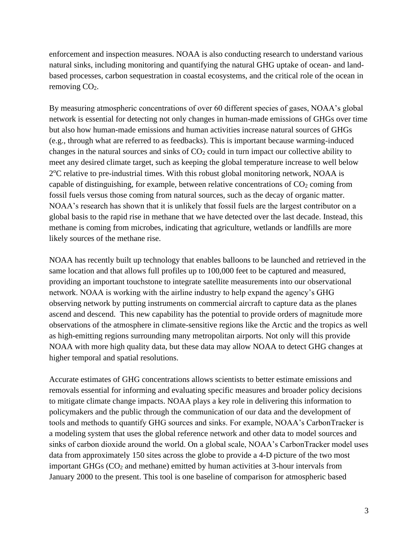enforcement and inspection measures. NOAA is also conducting research to understand various natural sinks, including monitoring and quantifying the natural GHG uptake of ocean- and landbased processes, carbon sequestration in coastal ecosystems, and the critical role of the ocean in removing CO<sub>2</sub>.

By measuring atmospheric concentrations of over 60 different species of gases, NOAA's global network is essential for detecting not only changes in human-made emissions of GHGs over time but also how human-made emissions and human activities increase natural sources of GHGs (e.g., through what are referred to as feedbacks). This is important because warming-induced changes in the natural sources and sinks of  $CO<sub>2</sub>$  could in turn impact our collective ability to meet any desired climate target, such as keeping the global temperature increase to well below 2°C relative to pre-industrial times. With this robust global monitoring network, NOAA is capable of distinguishing, for example, between relative concentrations of  $CO<sub>2</sub>$  coming from fossil fuels versus those coming from natural sources, such as the decay of organic matter. NOAA's research has shown that it is unlikely that fossil fuels are the largest contributor on a global basis to the rapid rise in methane that we have detected over the last decade. Instead, this methane is coming from microbes, indicating that agriculture, wetlands or landfills are more likely sources of the methane rise.

NOAA has recently built up technology that enables balloons to be launched and retrieved in the same location and that allows full profiles up to 100,000 feet to be captured and measured, providing an important touchstone to integrate satellite measurements into our observational network. NOAA is working with the airline industry to help expand the agency's GHG observing network by putting instruments on commercial aircraft to capture data as the planes ascend and descend. This new capability has the potential to provide orders of magnitude more observations of the atmosphere in climate-sensitive regions like the Arctic and the tropics as well as high-emitting regions surrounding many metropolitan airports. Not only will this provide NOAA with more high quality data, but these data may allow NOAA to detect GHG changes at higher temporal and spatial resolutions.

Accurate estimates of GHG concentrations allows scientists to better estimate emissions and removals essential for informing and evaluating specific measures and broader policy decisions to mitigate climate change impacts. NOAA plays a key role in delivering this information to policymakers and the public through the communication of our data and the development of tools and methods to quantify GHG sources and sinks. For example, NOAA's CarbonTracker is a modeling system that uses the global reference network and other data to model sources and sinks of carbon dioxide around the world. On a global scale, NOAA's CarbonTracker model uses data from approximately 150 sites across the globe to provide a 4-D picture of the two most important GHGs  $(CO<sub>2</sub>$  and methane) emitted by human activities at 3-hour intervals from January 2000 to the present. This tool is one baseline of comparison for atmospheric based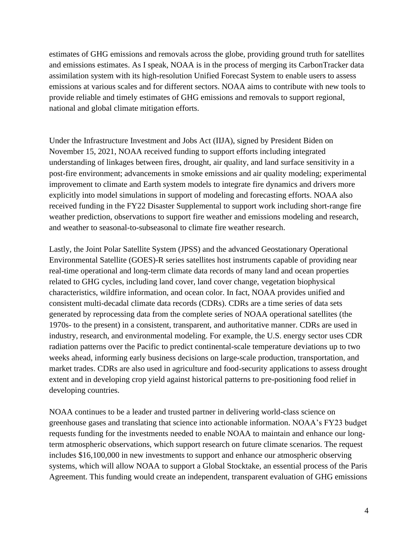estimates of GHG emissions and removals across the globe, providing ground truth for satellites and emissions estimates. As I speak, NOAA is in the process of merging its CarbonTracker data assimilation system with its high-resolution Unified Forecast System to enable users to assess emissions at various scales and for different sectors. NOAA aims to contribute with new tools to provide reliable and timely estimates of GHG emissions and removals to support regional, national and global climate mitigation efforts.

Under the Infrastructure Investment and Jobs Act (IIJA), signed by President Biden on November 15, 2021, NOAA received funding to support efforts including integrated understanding of linkages between fires, drought, air quality, and land surface sensitivity in a post-fire environment; advancements in smoke emissions and air quality modeling; experimental improvement to climate and Earth system models to integrate fire dynamics and drivers more explicitly into model simulations in support of modeling and forecasting efforts. NOAA also received funding in the FY22 Disaster Supplemental to support work including short-range fire weather prediction, observations to support fire weather and emissions modeling and research, and weather to seasonal-to-subseasonal to climate fire weather research.

Lastly, the Joint Polar Satellite System (JPSS) and the advanced Geostationary Operational Environmental Satellite (GOES)-R series satellites host instruments capable of providing near real-time operational and long-term climate data records of many land and ocean properties related to GHG cycles, including land cover, land cover change, vegetation biophysical characteristics, wildfire information, and ocean color. In fact, NOAA provides unified and consistent multi-decadal climate data records (CDRs). CDRs are a time series of data sets generated by reprocessing data from the complete series of NOAA operational satellites (the 1970s- to the present) in a consistent, transparent, and authoritative manner. CDRs are used in industry, research, and environmental modeling. For example, the U.S. energy sector uses CDR radiation patterns over the Pacific to predict continental-scale temperature deviations up to two weeks ahead, informing early business decisions on large-scale production, transportation, and market trades. CDRs are also used in agriculture and food-security applications to assess drought extent and in developing crop yield against historical patterns to pre-positioning food relief in developing countries.

NOAA continues to be a leader and trusted partner in delivering world-class science on greenhouse gases and translating that science into actionable information. NOAA's FY23 budget requests funding for the investments needed to enable NOAA to maintain and enhance our longterm atmospheric observations, which support research on future climate scenarios. The request includes \$16,100,000 in new investments to support and enhance our atmospheric observing systems, which will allow NOAA to support a Global Stocktake, an essential process of the Paris Agreement. This funding would create an independent, transparent evaluation of GHG emissions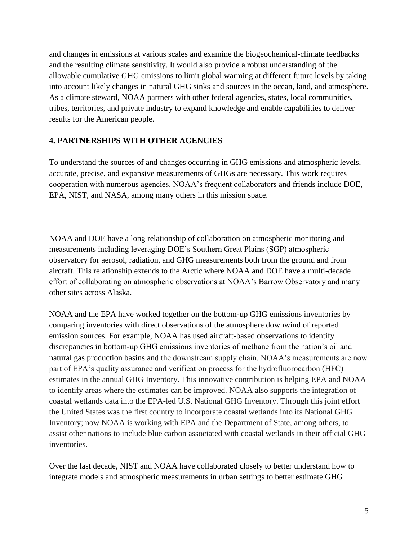and changes in emissions at various scales and examine the biogeochemical-climate feedbacks and the resulting climate sensitivity. It would also provide a robust understanding of the allowable cumulative GHG emissions to limit global warming at different future levels by taking into account likely changes in natural GHG sinks and sources in the ocean, land, and atmosphere. As a climate steward, NOAA partners with other federal agencies, states, local communities, tribes, territories, and private industry to expand knowledge and enable capabilities to deliver results for the American people.

### **4. PARTNERSHIPS WITH OTHER AGENCIES**

To understand the sources of and changes occurring in GHG emissions and atmospheric levels, accurate, precise, and expansive measurements of GHGs are necessary. This work requires cooperation with numerous agencies. NOAA's frequent collaborators and friends include DOE, EPA, NIST, and NASA, among many others in this mission space.

NOAA and DOE have a long relationship of collaboration on atmospheric monitoring and measurements including leveraging DOE's Southern Great Plains (SGP) atmospheric observatory for aerosol, radiation, and GHG measurements both from the ground and from aircraft. This relationship extends to the Arctic where NOAA and DOE have a multi-decade effort of collaborating on atmospheric observations at NOAA's Barrow Observatory and many other sites across Alaska.

NOAA and the EPA have worked together on the bottom-up GHG emissions inventories by comparing inventories with direct observations of the atmosphere downwind of reported emission sources. For example, NOAA has used aircraft-based observations to identify discrepancies in bottom-up GHG emissions inventories of methane from the nation's oil and natural gas production basins and the downstream supply chain. NOAA's measurements are now part of EPA's quality assurance and verification process for the hydrofluorocarbon (HFC) estimates in the annual GHG Inventory. This innovative contribution is helping EPA and NOAA to identify areas where the estimates can be improved. NOAA also supports the integration of coastal wetlands data into the EPA-led U.S. National GHG Inventory. Through this joint effort the United States was the first country to incorporate coastal wetlands into its National GHG Inventory; now NOAA is working with EPA and the Department of State, among others, to assist other nations to include blue carbon associated with coastal wetlands in their official GHG inventories.

Over the last decade, NIST and NOAA have collaborated closely to better understand how to integrate models and atmospheric measurements in urban settings to better estimate GHG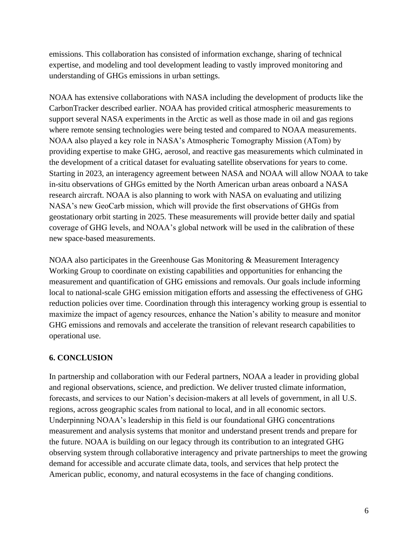emissions. This collaboration has consisted of information exchange, sharing of technical expertise, and modeling and tool development leading to vastly improved monitoring and understanding of GHGs emissions in urban settings.

NOAA has extensive collaborations with NASA including the development of products like the CarbonTracker described earlier. NOAA has provided critical atmospheric measurements to support several NASA experiments in the Arctic as well as those made in oil and gas regions where remote sensing technologies were being tested and compared to NOAA measurements. NOAA also played a key role in NASA's Atmospheric Tomography Mission (ATom) by providing expertise to make GHG, aerosol, and reactive gas measurements which culminated in the development of a critical dataset for evaluating satellite observations for years to come. Starting in 2023, an interagency agreement between NASA and NOAA will allow NOAA to take in-situ observations of GHGs emitted by the North American urban areas onboard a NASA research aircraft. NOAA is also planning to work with NASA on evaluating and utilizing NASA's new GeoCarb mission, which will provide the first observations of GHGs from geostationary orbit starting in 2025. These measurements will provide better daily and spatial coverage of GHG levels, and NOAA's global network will be used in the calibration of these new space-based measurements.

NOAA also participates in the Greenhouse Gas Monitoring & Measurement Interagency Working Group to coordinate on existing capabilities and opportunities for enhancing the measurement and quantification of GHG emissions and removals. Our goals include informing local to national-scale GHG emission mitigation efforts and assessing the effectiveness of GHG reduction policies over time. Coordination through this interagency working group is essential to maximize the impact of agency resources, enhance the Nation's ability to measure and monitor GHG emissions and removals and accelerate the transition of relevant research capabilities to operational use.

### **6. CONCLUSION**

In partnership and collaboration with our Federal partners, NOAA a leader in providing global and regional observations, science, and prediction. We deliver trusted climate information, forecasts, and services to our Nation's decision-makers at all levels of government, in all U.S. regions, across geographic scales from national to local, and in all economic sectors. Underpinning NOAA's leadership in this field is our foundational GHG concentrations measurement and analysis systems that monitor and understand present trends and prepare for the future. NOAA is building on our legacy through its contribution to an integrated GHG observing system through collaborative interagency and private partnerships to meet the growing demand for accessible and accurate climate data, tools, and services that help protect the American public, economy, and natural ecosystems in the face of changing conditions.